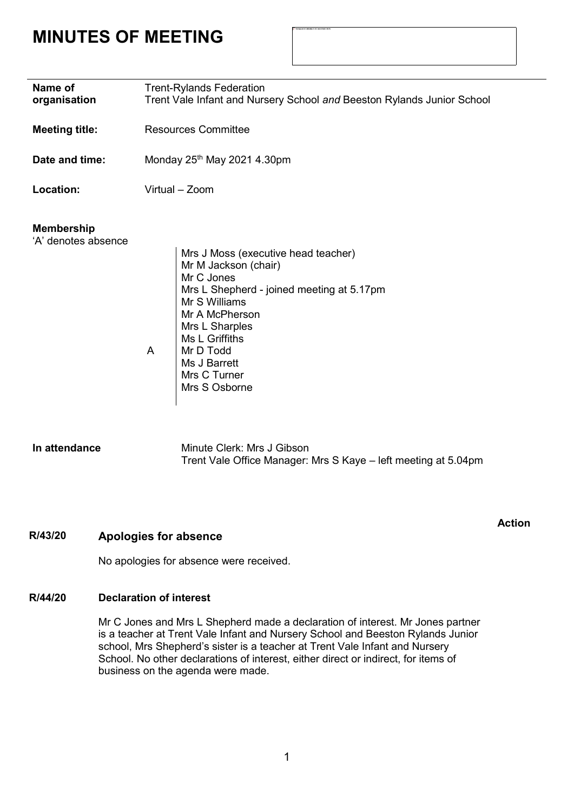# **MINUTES OF MEETING**

| Name of<br>organisation                  | <b>Trent-Rylands Federation</b><br>Trent Vale Infant and Nursery School and Beeston Rylands Junior School                                                                                                                                                        |
|------------------------------------------|------------------------------------------------------------------------------------------------------------------------------------------------------------------------------------------------------------------------------------------------------------------|
| <b>Meeting title:</b>                    | <b>Resources Committee</b>                                                                                                                                                                                                                                       |
| Date and time:                           | Monday $25th$ May 2021 4.30pm                                                                                                                                                                                                                                    |
| Location:                                | Virtual - Zoom                                                                                                                                                                                                                                                   |
| <b>Membership</b><br>'A' denotes absence | Mrs J Moss (executive head teacher)<br>Mr M Jackson (chair)<br>Mr C Jones<br>Mrs L Shepherd - joined meeting at 5.17pm<br>Mr S Williams<br>Mr A McPherson<br>Mrs L Sharples<br>Ms L Griffiths<br>Mr D Todd<br>A<br>Ms J Barrett<br>Mrs C Turner<br>Mrs S Osborne |
| In attondanco                            | Minuto Clork: Mrs. I Cibcon                                                                                                                                                                                                                                      |

| In attendance | Minute Clerk: Mrs J Gibson                                     |
|---------------|----------------------------------------------------------------|
|               | Trent Vale Office Manager: Mrs S Kaye – left meeting at 5.04pm |

### **R/43/20 Apologies for absence**

**Action**

No apologies for absence were received.

### **R/44/20 Declaration of interest**

Mr C Jones and Mrs L Shepherd made a declaration of interest. Mr Jones partner is a teacher at Trent Vale Infant and Nursery School and Beeston Rylands Junior school, Mrs Shepherd's sister is a teacher at Trent Vale Infant and Nursery School. No other declarations of interest, either direct or indirect, for items of business on the agenda were made.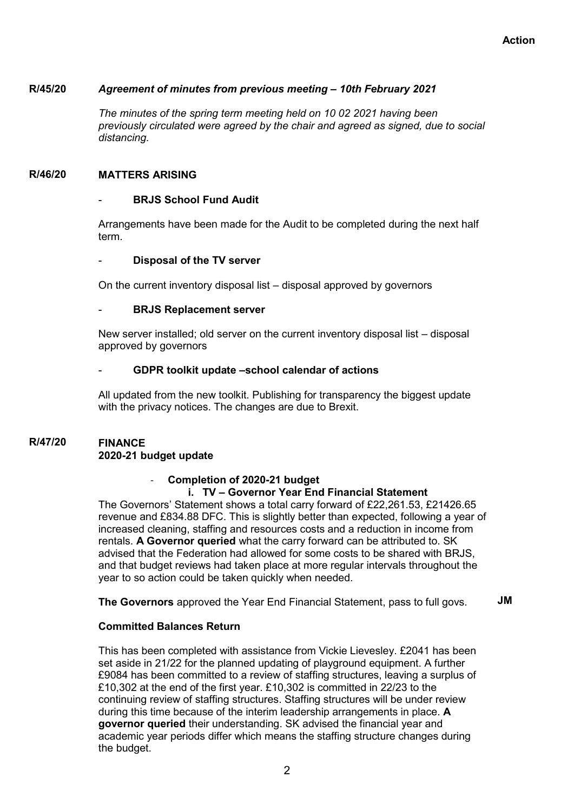#### **R/45/20** *Agreement of minutes from previous meeting – 10th February 2021*

*The minutes of the spring term meeting held on 10 02 2021 having been previously circulated were agreed by the chair and agreed as signed, due to social distancing.*

#### **R/46/20 MATTERS ARISING**

#### **BRJS School Fund Audit**

Arrangements have been made for the Audit to be completed during the next half term.

#### **Disposal of the TV server**

On the current inventory disposal list – disposal approved by governors

#### - **BRJS Replacement server**

New server installed; old server on the current inventory disposal list – disposal approved by governors

#### - **GDPR toolkit update –school calendar of actions**

All updated from the new toolkit. Publishing for transparency the biggest update with the privacy notices. The changes are due to Brexit.

#### **R/47/20 FINANCE 2020-21 budget update**

#### - **Completion of 2020-21 budget i. TV – Governor Year End Financial Statement**

The Governors' Statement shows a total carry forward of £22,261.53, £21426.65 revenue and £834.88 DFC. This is slightly better than expected, following a year of increased cleaning, staffing and resources costs and a reduction in income from rentals. **A Governor queried** what the carry forward can be attributed to. SK advised that the Federation had allowed for some costs to be shared with BRJS, and that budget reviews had taken place at more regular intervals throughout the year to so action could be taken quickly when needed.

**The Governors** approved the Year End Financial Statement, pass to full govs. **JM**

#### **Committed Balances Return**

This has been completed with assistance from Vickie Lievesley. £2041 has been set aside in 21/22 for the planned updating of playground equipment. A further £9084 has been committed to a review of staffing structures, leaving a surplus of £10,302 at the end of the first year. £10,302 is committed in 22/23 to the continuing review of staffing structures. Staffing structures will be under review during this time because of the interim leadership arrangements in place. **A governor queried** their understanding. SK advised the financial year and academic year periods differ which means the staffing structure changes during the budget.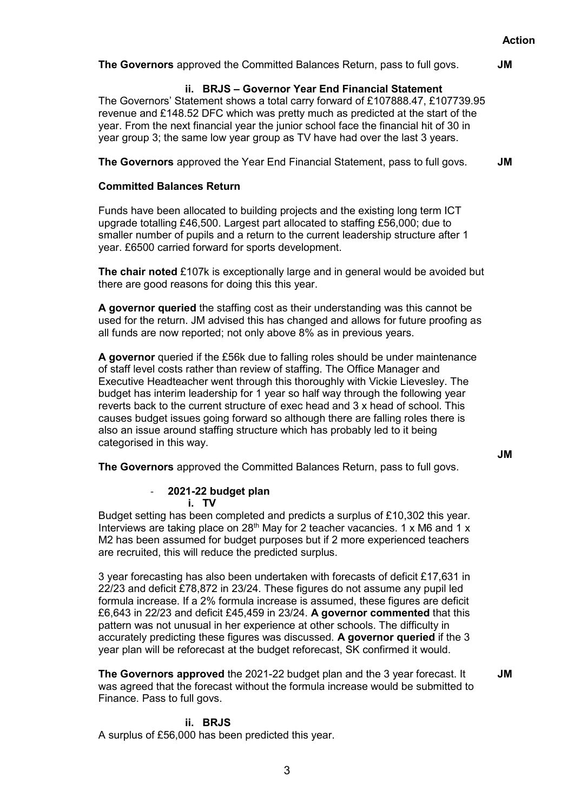**The Governors** approved the Committed Balances Return, pass to full govs. **JM**

#### **ii. BRJS – Governor Year End Financial Statement**

The Governors' Statement shows a total carry forward of £107888.47, £107739.95 revenue and £148.52 DFC which was pretty much as predicted at the start of the year. From the next financial year the junior school face the financial hit of 30 in year group 3; the same low year group as TV have had over the last 3 years.

**The Governors** approved the Year End Financial Statement, pass to full govs. **JM**

#### **Committed Balances Return**

Funds have been allocated to building projects and the existing long term ICT upgrade totalling £46,500. Largest part allocated to staffing £56,000; due to smaller number of pupils and a return to the current leadership structure after 1 year. £6500 carried forward for sports development.

**The chair noted** £107k is exceptionally large and in general would be avoided but there are good reasons for doing this this year.

**A governor queried** the staffing cost as their understanding was this cannot be used for the return. JM advised this has changed and allows for future proofing as all funds are now reported; not only above 8% as in previous years.

**A governor** queried if the £56k due to falling roles should be under maintenance of staff level costs rather than review of staffing. The Office Manager and Executive Headteacher went through this thoroughly with Vickie Lievesley. The budget has interim leadership for 1 year so half way through the following year reverts back to the current structure of exec head and 3 x head of school. This causes budget issues going forward so although there are falling roles there is also an issue around staffing structure which has probably led to it being categorised in this way.

**JM**

**The Governors** approved the Committed Balances Return, pass to full govs.

#### - **2021-22 budget plan i. TV**

Budget setting has been completed and predicts a surplus of £10,302 this year. Interviews are taking place on 28<sup>th</sup> May for 2 teacher vacancies. 1 x M6 and 1 x M2 has been assumed for budget purposes but if 2 more experienced teachers are recruited, this will reduce the predicted surplus.

3 year forecasting has also been undertaken with forecasts of deficit £17,631 in 22/23 and deficit £78,872 in 23/24. These figures do not assume any pupil led formula increase. If a 2% formula increase is assumed, these figures are deficit £6,643 in 22/23 and deficit £45,459 in 23/24. **A governor commented** that this pattern was not unusual in her experience at other schools. The difficulty in accurately predicting these figures was discussed. **A governor queried** if the 3 year plan will be reforecast at the budget reforecast, SK confirmed it would.

**The Governors approved** the 2021-22 budget plan and the 3 year forecast. It was agreed that the forecast without the formula increase would be submitted to Finance. Pass to full govs.

**JM**

#### **ii. BRJS**

A surplus of £56,000 has been predicted this year.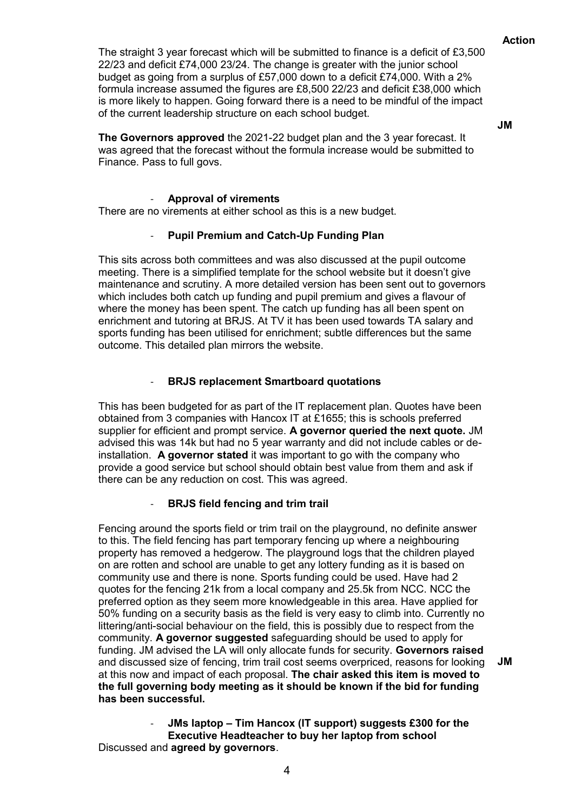The straight 3 year forecast which will be submitted to finance is a deficit of £3,500 22/23 and deficit £74,000 23/24. The change is greater with the junior school budget as going from a surplus of £57,000 down to a deficit £74,000. With a 2% formula increase assumed the figures are £8,500 22/23 and deficit £38,000 which is more likely to happen. Going forward there is a need to be mindful of the impact of the current leadership structure on each school budget.

**JM**

**The Governors approved** the 2021-22 budget plan and the 3 year forecast. It was agreed that the forecast without the formula increase would be submitted to Finance. Pass to full govs.

#### - **Approval of virements**

There are no virements at either school as this is a new budget.

#### - **Pupil Premium and Catch-Up Funding Plan**

This sits across both committees and was also discussed at the pupil outcome meeting. There is a simplified template for the school website but it doesn't give maintenance and scrutiny. A more detailed version has been sent out to governors which includes both catch up funding and pupil premium and gives a flavour of where the money has been spent. The catch up funding has all been spent on enrichment and tutoring at BRJS. At TV it has been used towards TA salary and sports funding has been utilised for enrichment; subtle differences but the same outcome. This detailed plan mirrors the website.

#### - **BRJS replacement Smartboard quotations**

This has been budgeted for as part of the IT replacement plan. Quotes have been obtained from 3 companies with Hancox IT at £1655; this is schools preferred supplier for efficient and prompt service. **A governor queried the next quote.** JM advised this was 14k but had no 5 year warranty and did not include cables or deinstallation. **A governor stated** it was important to go with the company who provide a good service but school should obtain best value from them and ask if there can be any reduction on cost. This was agreed.

#### - **BRJS field fencing and trim trail**

Fencing around the sports field or trim trail on the playground, no definite answer to this. The field fencing has part temporary fencing up where a neighbouring property has removed a hedgerow. The playground logs that the children played on are rotten and school are unable to get any lottery funding as it is based on community use and there is none. Sports funding could be used. Have had 2 quotes for the fencing 21k from a local company and 25.5k from NCC. NCC the preferred option as they seem more knowledgeable in this area. Have applied for 50% funding on a security basis as the field is very easy to climb into. Currently no littering/anti-social behaviour on the field, this is possibly due to respect from the community. **A governor suggested** safeguarding should be used to apply for funding. JM advised the LA will only allocate funds for security. **Governors raised**  and discussed size of fencing, trim trail cost seems overpriced, reasons for looking at this now and impact of each proposal. **The chair asked this item is moved to the full governing body meeting as it should be known if the bid for funding has been successful. JM**

- **JMs laptop – Tim Hancox (IT support) suggests £300 for the Executive Headteacher to buy her laptop from school** Discussed and **agreed by governors**.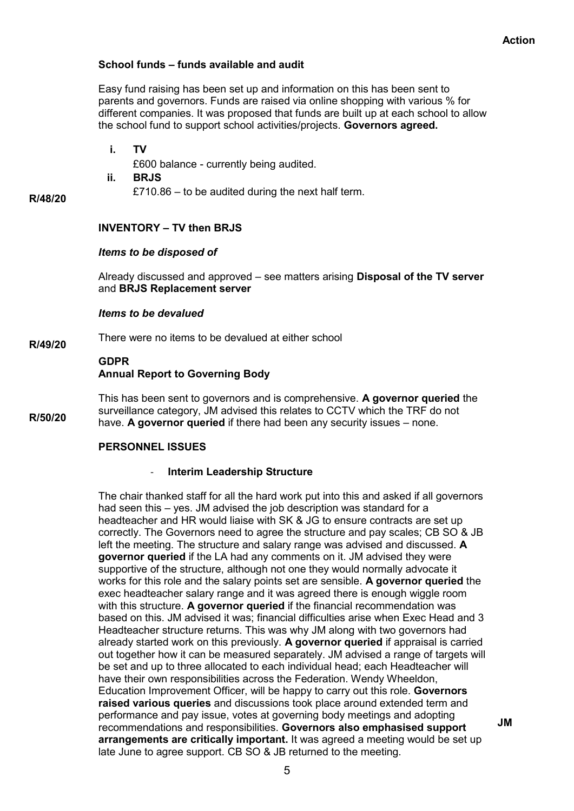#### **School funds – funds available and audit**

Easy fund raising has been set up and information on this has been sent to parents and governors. Funds are raised via online shopping with various % for different companies. It was proposed that funds are built up at each school to allow the school fund to support school activities/projects. **Governors agreed.**

**i. TV**

£600 balance - currently being audited.

**ii. BRJS**

£710.86 – to be audited during the next half term.

#### **R/48/20**

### **INVENTORY – TV then BRJS**

#### *Items to be disposed of*

Already discussed and approved – see matters arising **Disposal of the TV server** and **BRJS Replacement server**

#### *Items to be devalued*

**R/49/20** There were no items to be devalued at either school

### **GDPR Annual Report to Governing Body**

**R/50/20** This has been sent to governors and is comprehensive. **A governor queried** the surveillance category, JM advised this relates to CCTV which the TRF do not have. **A governor queried** if there had been any security issues – none.

#### **PERSONNEL ISSUES**

#### - **Interim Leadership Structure**

The chair thanked staff for all the hard work put into this and asked if all governors had seen this – yes. JM advised the job description was standard for a headteacher and HR would liaise with SK & JG to ensure contracts are set up correctly. The Governors need to agree the structure and pay scales; CB SO & JB left the meeting. The structure and salary range was advised and discussed. **A governor queried** if the LA had any comments on it. JM advised they were supportive of the structure, although not one they would normally advocate it works for this role and the salary points set are sensible. **A governor queried** the exec headteacher salary range and it was agreed there is enough wiggle room with this structure. **A governor queried** if the financial recommendation was based on this. JM advised it was; financial difficulties arise when Exec Head and 3 Headteacher structure returns. This was why JM along with two governors had already started work on this previously. **A governor queried** if appraisal is carried out together how it can be measured separately. JM advised a range of targets will be set and up to three allocated to each individual head; each Headteacher will have their own responsibilities across the Federation. Wendy Wheeldon, Education Improvement Officer, will be happy to carry out this role. **Governors raised various queries** and discussions took place around extended term and performance and pay issue, votes at governing body meetings and adopting recommendations and responsibilities. **Governors also emphasised support arrangements are critically important.** It was agreed a meeting would be set up late June to agree support. CB SO & JB returned to the meeting.

**JM**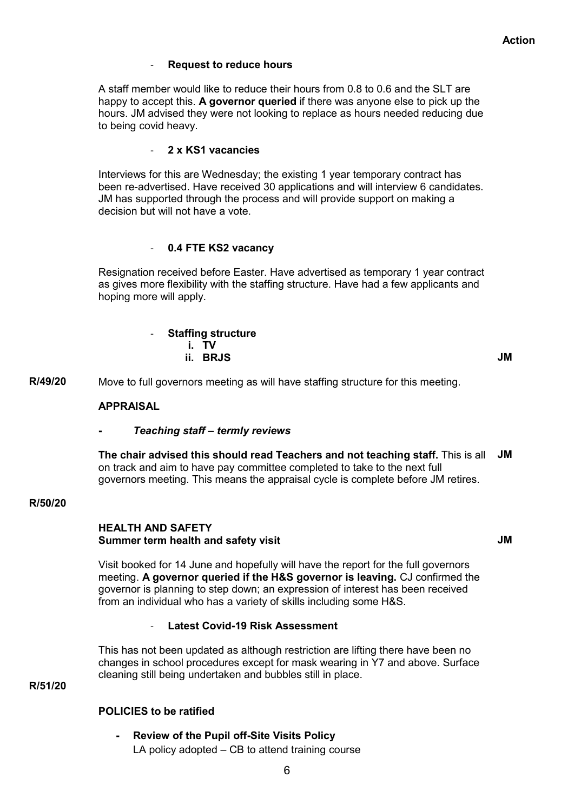**JM**

#### **Request to reduce hours**

A staff member would like to reduce their hours from 0.8 to 0.6 and the SLT are happy to accept this. **A governor queried** if there was anyone else to pick up the hours. JM advised they were not looking to replace as hours needed reducing due to being covid heavy.

#### - **2 x KS1 vacancies**

Interviews for this are Wednesday; the existing 1 year temporary contract has been re-advertised. Have received 30 applications and will interview 6 candidates. JM has supported through the process and will provide support on making a decision but will not have a vote.

#### - **0.4 FTE KS2 vacancy**

Resignation received before Easter. Have advertised as temporary 1 year contract as gives more flexibility with the staffing structure. Have had a few applicants and hoping more will apply.

| - Staffing structure |           |
|----------------------|-----------|
| i. TV                |           |
| ii. BRJS             | <b>JM</b> |

**R/49/20** Move to full governors meeting as will have staffing structure for this meeting.

#### **APPRAISAL**

#### **-** *Teaching staff – termly reviews*

**The chair advised this should read Teachers and not teaching staff.** This is all **JM** on track and aim to have pay committee completed to take to the next full governors meeting. This means the appraisal cycle is complete before JM retires.

#### **R/50/20**

#### **HEALTH AND SAFETY Summer term health and safety visit**

Visit booked for 14 June and hopefully will have the report for the full governors meeting. **A governor queried if the H&S governor is leaving.** CJ confirmed the governor is planning to step down; an expression of interest has been received from an individual who has a variety of skills including some H&S.

#### - **Latest Covid-19 Risk Assessment**

This has not been updated as although restriction are lifting there have been no changes in school procedures except for mask wearing in Y7 and above. Surface cleaning still being undertaken and bubbles still in place.

## **R/51/20**

#### **POLICIES to be ratified**

**- Review of the Pupil off-Site Visits Policy** LA policy adopted – CB to attend training course